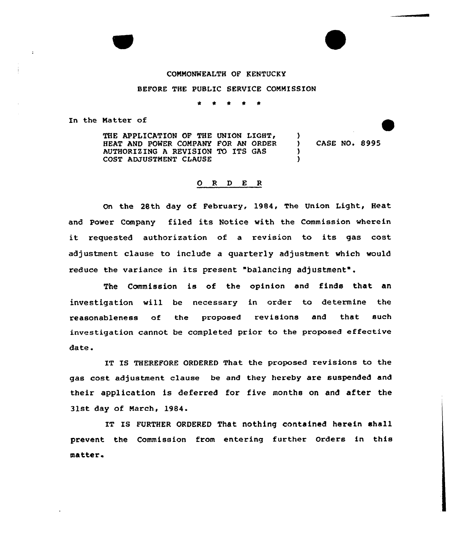## COMMONWEALTH OF KENTUCKY

## BEFORE THE PUBLIC SERVICE COMMISSION

\*

In the Natter of

 $\ddot{\phantom{a}}$ 

THE APPLICATION OF THE UNION LIGHT, HEAT AND PONER COMPANY FOR AN ORDER AUTHORIZING A REVISION TO ITS GAS COST ADJUSTMENT CLAUSE

) CASE NO. 8995

)

١.

## 0 <sup>R</sup> <sup>D</sup> E <sup>R</sup>

On the 28th day of February, 1984, The Union Light, Heat and Power Company filed its Notice with the Commission wherein it requested authorization of <sup>a</sup> xevision to its gas cost adjustment clause to include a quarterly adjustment which would reduce the variance in its present "balancing adjustment".

The Commission is of the opinion and finds that an investigation will be necessary in order to determine the reasonableness of the proposed revisions and that such investigation cannot be completed prior to the proposed effective date.

IT IS THEREFORE ORDERED That the proposed revisions to the gas cost adjustment clause be and they hereby are suspended and their application is deferred for five months on and after the 31st day of March, 1984.

IT IS FURTHER ORDERED That nothing contained herein shall prevent the Commission from entering further Orders in this matter.